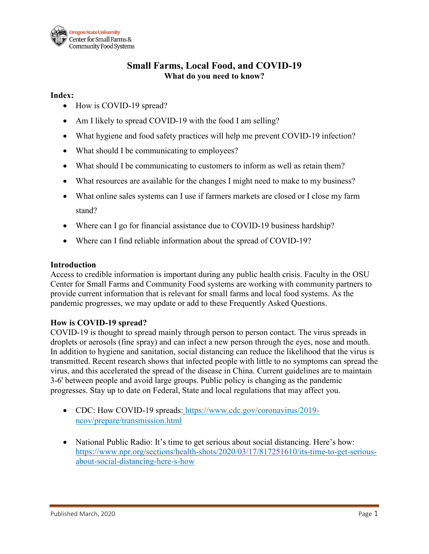

# **Small Farms, Local Food, and COVID-19 What do you need to know?**

### **Index:**

- How is COVID-19 spread?
- Am I likely to spread COVID-19 with the food I am selling?
- What hygiene and food safety practices will help me prevent COVID-19 infection?
- What should I be communicating to employees?
- What should I be communicating to customers to inform as well as retain them?
- What resources are available for the changes I might need to make to my business?
- What online sales systems can I use if farmers markets are closed or I close my farm stand?
- Where can I go for financial assistance due to COVID-19 business hardship?
- Where can I find reliable information about the spread of COVID-19?

#### **Introduction**

Access to credible information is important during any public health crisis. Faculty in the OSU Center for Small Farms and Community Food systems are working with community partners to provide current information that is relevant for small farms and local food systems. As the pandemic progresses, we may update or add to these Frequently Asked Questions.

### **How is COVID-19 spread?**

COVID-19 is thought to spread mainly through person to person contact. The virus spreads in droplets or aerosols (fine spray) and can infect a new person through the eyes, nose and mouth. In addition to hygiene and sanitation, social distancing can reduce the likelihood that the virus is transmitted. Recent research shows that infected people with little to no symptoms can spread the virus, and this accelerated the spread of the disease in China. Current guidelines are to maintain 3-6' between people and avoid large groups. Public policy is changing as the pandemic progresses. Stay up to date on Federal, State and local regulations that may affect you.

- CDC: How COVID-19 spreads: https://www.cdc.gov/coronavirus/2019ncov/prepare/transmission.html
- National Public Radio: It's time to get serious about social distancing. Here's how: [https://www.npr.org/sections/health-shots/2020/03/17/817251610/its-time-to-get-serious](https://www.npr.org/sections/health-shots/2020/03/17/817251610/its-time-to-get-serious-about-social-distancing-here-s-how)[about-social-distancing-here-s-how](https://www.npr.org/sections/health-shots/2020/03/17/817251610/its-time-to-get-serious-about-social-distancing-here-s-how)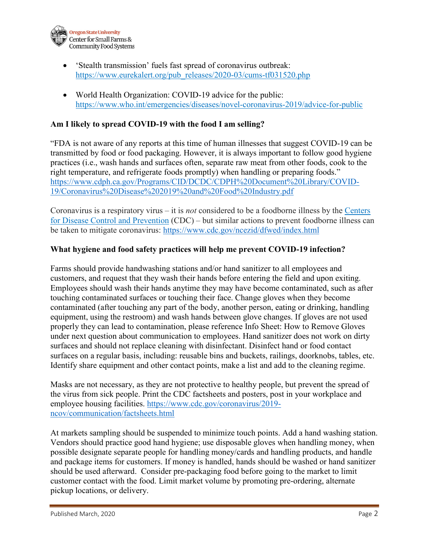

- 'Stealth transmission' fuels fast spread of coronavirus outbreak: [https://www.eurekalert.org/pub\\_releases/2020-03/cums-tf031520.php](https://www.eurekalert.org/pub_releases/2020-03/cums-tf031520.php)
- World Health Organization: COVID-19 advice for the public: <https://www.who.int/emergencies/diseases/novel-coronavirus-2019/advice-for-public>

### **Am I likely to spread COVID-19 with the food I am selling?**

"FDA is not aware of any reports at this time of human illnesses that suggest COVID-19 can be transmitted by food or food packaging. However, it is always important to follow good hygiene practices (i.e., wash hands and surfaces often, separate raw meat from other foods, cook to the right temperature, and refrigerate foods promptly) when handling or preparing foods." [https://www.cdph.ca.gov/Programs/CID/DCDC/CDPH%20Document%20Library/COVID-](https://www.cdph.ca.gov/Programs/CID/DCDC/CDPH%20Document%20Library/COVID-19/Coronavirus%20Disease%202019%20and%20Food%20Industry.pdf)[19/Coronavirus%20Disease%202019%20and%20Food%20Industry.pdf](https://www.cdph.ca.gov/Programs/CID/DCDC/CDPH%20Document%20Library/COVID-19/Coronavirus%20Disease%202019%20and%20Food%20Industry.pdf)

Coronavirus is a respiratory virus – it is *not* considered to be a foodborne illness by the [Centers](http://r20.rs6.net/tn.jsp?f=001HklE3yO1c5S95_ti7Jr3on3Jxsz9xcRAyMep6ddVTDmbFwB2aGUEtrdI-vOrXPiI57zUPcg9f42695IN0s_lmKNQLTDskQfvyzg9-FTBlc7zo8gx6sHND2fWHjmH7gN8uIwHuPdwzvPxiWRU2vw_pLLTGwpjlhwm6n4ZVxQtPEh8reZxDy24Ag==&c=NumiRVYjhdp9bT1wGn0IVam3tl-aHwZr1WD4eqMRqskUChmS4UmJIg==&ch=QXXfcZ90ytfBRaoLhFYc_pQTQCbP2DBJqjuZYpC6dDbgGiXQaQnCxw==)  [for Disease Control and Prevention](http://r20.rs6.net/tn.jsp?f=001HklE3yO1c5S95_ti7Jr3on3Jxsz9xcRAyMep6ddVTDmbFwB2aGUEtrdI-vOrXPiI57zUPcg9f42695IN0s_lmKNQLTDskQfvyzg9-FTBlc7zo8gx6sHND2fWHjmH7gN8uIwHuPdwzvPxiWRU2vw_pLLTGwpjlhwm6n4ZVxQtPEh8reZxDy24Ag==&c=NumiRVYjhdp9bT1wGn0IVam3tl-aHwZr1WD4eqMRqskUChmS4UmJIg==&ch=QXXfcZ90ytfBRaoLhFYc_pQTQCbP2DBJqjuZYpC6dDbgGiXQaQnCxw==) (CDC) – but similar actions to prevent foodborne illness can be taken to mitigate coronavirus:<https://www.cdc.gov/ncezid/dfwed/index.html>

### **What hygiene and food safety practices will help me prevent COVID-19 infection?**

Farms should provide handwashing stations and/or hand sanitizer to all employees and customers, and request that they wash their hands before entering the field and upon exiting. Employees should wash their hands anytime they may have become contaminated, such as after touching contaminated surfaces or touching their face. Change gloves when they become contaminated (after touching any part of the body, another person, eating or drinking, handling equipment, using the restroom) and wash hands between glove changes. If gloves are not used properly they can lead to contamination, please reference Info Sheet: How to Remove Gloves under next question about communication to employees. Hand sanitizer does not work on dirty surfaces and should not replace cleaning with disinfectant. Disinfect hand or food contact surfaces on a regular basis, including: reusable bins and buckets, railings, doorknobs, tables, etc. Identify share equipment and other contact points, make a list and add to the cleaning regime.

Masks are not necessary, as they are not protective to healthy people, but prevent the spread of the virus from sick people. Print the CDC factsheets and posters, post in your workplace and employee housing facilities. [https://www.cdc.gov/coronavirus/2019](https://www.cdc.gov/coronavirus/2019-ncov/communication/factsheets.html) [ncov/communication/factsheets.html](https://www.cdc.gov/coronavirus/2019-ncov/communication/factsheets.html)

At markets sampling should be suspended to minimize touch points. Add a hand washing station. Vendors should practice good hand hygiene; use disposable gloves when handling money, when possible designate separate people for handling money/cards and handling products, and handle and package items for customers. If money is handled, hands should be washed or hand sanitizer should be used afterward. Consider pre-packaging food before going to the market to limit customer contact with the food. Limit market volume by promoting pre-ordering, alternate pickup locations, or delivery.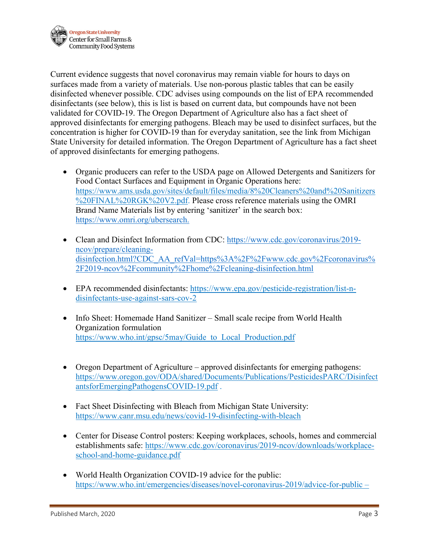

Current evidence suggests that novel coronavirus may remain viable for hours to days on surfaces made from a variety of materials. Use non-porous plastic tables that can be easily disinfected whenever possible. CDC advises using compounds on the list of EPA recommended disinfectants (see below), this is list is based on current data, but compounds have not been validated for COVID-19. The Oregon Department of Agriculture also has a fact sheet of approved disinfectants for emerging pathogens. Bleach may be used to disinfect surfaces, but the concentration is higher for COVID-19 than for everyday sanitation, see the link from Michigan State University for detailed information. The Oregon Department of Agriculture has a fact sheet of approved disinfectants for emerging pathogens.

- Organic producers can refer to the USDA page on Allowed Detergents and Sanitizers for Food Contact Surfaces and Equipment in Organic Operations here: [https://www.ams.usda.gov/sites/default/files/media/8%20Cleaners%20and%20Sanitizers](https://www.ams.usda.gov/sites/default/files/media/8%20Cleaners%20and%20Sanitizers%20FINAL%20RGK%20V2.pdf) [%20FINAL%20RGK%20V2.pdf.](https://www.ams.usda.gov/sites/default/files/media/8%20Cleaners%20and%20Sanitizers%20FINAL%20RGK%20V2.pdf) Please cross reference materials using the OMRI Brand Name Materials list by entering 'sanitizer' in the search box: [https://www.omri.org/ubersearch.](https://www.omri.org/ubersearch)
- Clean and Disinfect Information from CDC: [https://www.cdc.gov/coronavirus/2019](https://www.cdc.gov/coronavirus/2019-ncov/prepare/cleaning-disinfection.html?CDC_AA_refVal=https%3A%2F%2Fwww.cdc.gov%2Fcoronavirus%2F2019-ncov%2Fcommunity%2Fhome%2Fcleaning-disinfection.html) [ncov/prepare/cleaning](https://www.cdc.gov/coronavirus/2019-ncov/prepare/cleaning-disinfection.html?CDC_AA_refVal=https%3A%2F%2Fwww.cdc.gov%2Fcoronavirus%2F2019-ncov%2Fcommunity%2Fhome%2Fcleaning-disinfection.html)[disinfection.html?CDC\\_AA\\_refVal=https%3A%2F%2Fwww.cdc.gov%2Fcoronavirus%](https://www.cdc.gov/coronavirus/2019-ncov/prepare/cleaning-disinfection.html?CDC_AA_refVal=https%3A%2F%2Fwww.cdc.gov%2Fcoronavirus%2F2019-ncov%2Fcommunity%2Fhome%2Fcleaning-disinfection.html) [2F2019-ncov%2Fcommunity%2Fhome%2Fcleaning-disinfection.html](https://www.cdc.gov/coronavirus/2019-ncov/prepare/cleaning-disinfection.html?CDC_AA_refVal=https%3A%2F%2Fwww.cdc.gov%2Fcoronavirus%2F2019-ncov%2Fcommunity%2Fhome%2Fcleaning-disinfection.html)
- EPA recommended disinfectants: [https://www.epa.gov/pesticide-registration/list-n](https://www.epa.gov/pesticide-registration/list-n-disinfectants-use-against-sars-cov-2)[disinfectants-use-against-sars-cov-2](https://www.epa.gov/pesticide-registration/list-n-disinfectants-use-against-sars-cov-2)
- Info Sheet: Homemade Hand Sanitizer Small scale recipe from World Health Organization formulation https://www.who.int/gpsc/5may/Guide to Local Production.pdf
- Oregon Department of Agriculture approved disinfectants for emerging pathogens: [https://www.oregon.gov/ODA/shared/Documents/Publications/PesticidesPARC/Disinfect](https://www.oregon.gov/ODA/shared/Documents/Publications/PesticidesPARC/DisinfectantsforEmergingPathogensCOVID-19.pdf) [antsforEmergingPathogensCOVID-19.pdf](https://www.oregon.gov/ODA/shared/Documents/Publications/PesticidesPARC/DisinfectantsforEmergingPathogensCOVID-19.pdf) .
- Fact Sheet Disinfecting with Bleach from Michigan State University: https://www.canr.msu.edu/news/covid-19-disinfecting-with-bleach
- Center for Disease Control posters: Keeping workplaces, schools, homes and commercial establishments safe: [https://www.cdc.gov/coronavirus/2019-ncov/downloads/workplace](https://www.cdc.gov/coronavirus/2019-ncov/downloads/workplace-school-and-home-guidance.pdf)[school-and-home-guidance.pdf](https://www.cdc.gov/coronavirus/2019-ncov/downloads/workplace-school-and-home-guidance.pdf)
- World Health Organization COVID-19 advice for the public: <https://www.who.int/emergencies/diseases/novel-coronavirus-2019/advice-for-public> *–*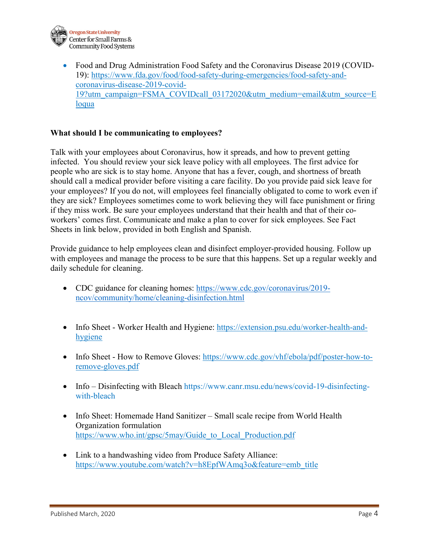

• Food and Drug Administration Food Safety and the Coronavirus Disease 2019 (COVID-19): [https://www.fda.gov/food/food-safety-during-emergencies/food-safety-and](https://www.fda.gov/food/food-safety-during-emergencies/food-safety-and-coronavirus-disease-2019-covid-19?utm_campaign=FSMA_COVIDcall_03172020&utm_medium=email&utm_source=Eloqua)[coronavirus-disease-2019-covid-](https://www.fda.gov/food/food-safety-during-emergencies/food-safety-and-coronavirus-disease-2019-covid-19?utm_campaign=FSMA_COVIDcall_03172020&utm_medium=email&utm_source=Eloqua)[19?utm\\_campaign=FSMA\\_COVIDcall\\_03172020&utm\\_medium=email&utm\\_source=E](https://www.fda.gov/food/food-safety-during-emergencies/food-safety-and-coronavirus-disease-2019-covid-19?utm_campaign=FSMA_COVIDcall_03172020&utm_medium=email&utm_source=Eloqua) [loqua](https://www.fda.gov/food/food-safety-during-emergencies/food-safety-and-coronavirus-disease-2019-covid-19?utm_campaign=FSMA_COVIDcall_03172020&utm_medium=email&utm_source=Eloqua)

## **What should I be communicating to employees?**

Talk with your employees about Coronavirus, how it spreads, and how to prevent getting infected. You should review your sick leave policy with all employees. The first advice for people who are sick is to stay home. Anyone that has a fever, cough, and shortness of breath should call a medical provider before visiting a care facility. Do you provide paid sick leave for your employees? If you do not, will employees feel financially obligated to come to work even if they are sick? Employees sometimes come to work believing they will face punishment or firing if they miss work. Be sure your employees understand that their health and that of their coworkers' comes first. Communicate and make a plan to cover for sick employees. See Fact Sheets in link below, provided in both English and Spanish.

Provide guidance to help employees clean and disinfect employer-provided housing. Follow up with employees and manage the process to be sure that this happens. Set up a regular weekly and daily schedule for cleaning.

- CDC guidance for cleaning homes: [https://www.cdc.gov/coronavirus/2019](https://www.cdc.gov/coronavirus/2019-ncov/community/home/cleaning-disinfection.html) [ncov/community/home/cleaning-disinfection.html](https://www.cdc.gov/coronavirus/2019-ncov/community/home/cleaning-disinfection.html)
- Info Sheet Worker Health and Hygiene: [https://extension.psu.edu/worker-health-and](https://extension.psu.edu/worker-health-and-hygiene)[hygiene](https://extension.psu.edu/worker-health-and-hygiene)
- Info Sheet How to Remove Gloves: [https://www.cdc.gov/vhf/ebola/pdf/poster-how-to](https://www.cdc.gov/vhf/ebola/pdf/poster-how-to-remove-gloves.pdf)[remove-gloves.pdf](https://www.cdc.gov/vhf/ebola/pdf/poster-how-to-remove-gloves.pdf)
- Info Disinfecting with Bleach [https://www.canr.msu.edu/news/covid-19-disinfecting](https://www.canr.msu.edu/news/covid-19-disinfecting-with-bleach%20%C2%A0%20%3c%3cmaybe%20some%20of%20these%20sanitizer%20r)[with-bleach](https://www.canr.msu.edu/news/covid-19-disinfecting-with-bleach%20%C2%A0%20%3c%3cmaybe%20some%20of%20these%20sanitizer%20r)
- Info Sheet: Homemade Hand Sanitizer Small scale recipe from World Health Organization formulation [https://www.who.int/gpsc/5may/Guide\\_to\\_Local\\_Production.pdf](https://www.who.int/gpsc/5may/Guide_to_Local_Production.pdf)
- Link to a handwashing video from Produce Safety Alliance: [https://www.youtube.com/watch?v=h8EpfWAmq3o&feature=emb\\_title](https://www.youtube.com/watch?v=h8EpfWAmq3o&feature=emb_title)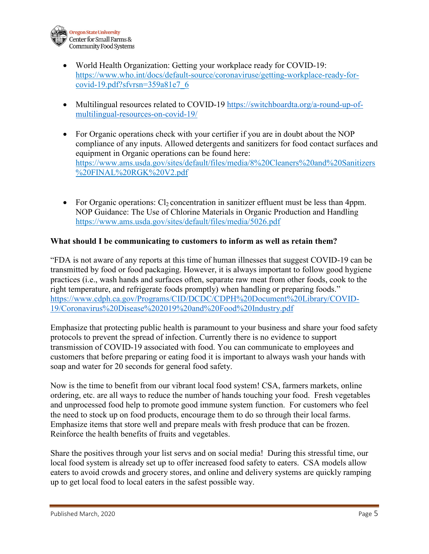

- World Health Organization: Getting your workplace ready for COVID-19: [https://www.who.int/docs/default-source/coronaviruse/getting-workplace-ready-for](https://www.who.int/docs/default-source/coronaviruse/getting-workplace-ready-for-covid-19.pdf?sfvrsn=359a81e7_6)[covid-19.pdf?sfvrsn=359a81e7\\_6](https://www.who.int/docs/default-source/coronaviruse/getting-workplace-ready-for-covid-19.pdf?sfvrsn=359a81e7_6)
- Multilingual resources related to COVID-19 [https://switchboardta.org/a-round-up-of](https://switchboardta.org/a-round-up-of-multilingual-resources-on-covid-19/)[multilingual-resources-on-covid-19/](https://switchboardta.org/a-round-up-of-multilingual-resources-on-covid-19/)
- For Organic operations check with your certifier if you are in doubt about the NOP compliance of any inputs. Allowed detergents and sanitizers for food contact surfaces and equipment in Organic operations can be found here: [https://www.ams.usda.gov/sites/default/files/media/8%20Cleaners%20and%20Sanitizers](https://www.ams.usda.gov/sites/default/files/media/8%20Cleaners%20and%20Sanitizers%20FINAL%20RGK%20V2.pdf) [%20FINAL%20RGK%20V2.pdf](https://www.ams.usda.gov/sites/default/files/media/8%20Cleaners%20and%20Sanitizers%20FINAL%20RGK%20V2.pdf)
- For Organic operations:  $Cl_2$  concentration in sanitizer effluent must be less than 4ppm. NOP Guidance: The Use of Chlorine Materials in Organic Production and Handling <https://www.ams.usda.gov/sites/default/files/media/5026.pdf>

## **What should I be communicating to customers to inform as well as retain them?**

"FDA is not aware of any reports at this time of human illnesses that suggest COVID-19 can be transmitted by food or food packaging. However, it is always important to follow good hygiene practices (i.e., wash hands and surfaces often, separate raw meat from other foods, cook to the right temperature, and refrigerate foods promptly) when handling or preparing foods." [https://www.cdph.ca.gov/Programs/CID/DCDC/CDPH%20Document%20Library/COVID-](https://www.cdph.ca.gov/Programs/CID/DCDC/CDPH%20Document%20Library/COVID-19/Coronavirus%20Disease%202019%20and%20Food%20Industry.pdf)[19/Coronavirus%20Disease%202019%20and%20Food%20Industry.pdf](https://www.cdph.ca.gov/Programs/CID/DCDC/CDPH%20Document%20Library/COVID-19/Coronavirus%20Disease%202019%20and%20Food%20Industry.pdf) 

Emphasize that protecting public health is paramount to your business and share your food safety protocols to prevent the spread of infection. Currently there is no evidence to support transmission of COVID-19 associated with food. You can communicate to employees and customers that before preparing or eating food it is important to always wash your hands with soap and water for 20 seconds for general food safety.

Now is the time to benefit from our vibrant local food system! CSA, farmers markets, online ordering, etc. are all ways to reduce the number of hands touching your food. Fresh vegetables and unprocessed food help to promote good immune system function. For customers who feel the need to stock up on food products, encourage them to do so through their local farms. Emphasize items that store well and prepare meals with fresh produce that can be frozen. Reinforce the health benefits of fruits and vegetables.

Share the positives through your list servs and on social media! During this stressful time, our local food system is already set up to offer increased food safety to eaters. CSA models allow eaters to avoid crowds and grocery stores, and online and delivery systems are quickly ramping up to get local food to local eaters in the safest possible way.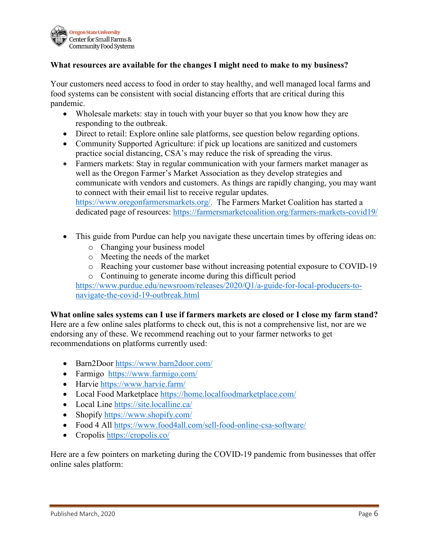

### **What resources are available for the changes I might need to make to my business?**

Your customers need access to food in order to stay healthy, and well managed local farms and food systems can be consistent with social distancing efforts that are critical during this pandemic.

- Wholesale markets: stay in touch with your buyer so that you know how they are responding to the outbreak.
- Direct to retail: Explore online sale platforms, see question below regarding options.
- Community Supported Agriculture: if pick up locations are sanitized and customers practice social distancing, CSA's may reduce the risk of spreading the virus.
- Farmers markets: Stay in regular communication with your farmers market manager as well as the Oregon Farmer's Market Association as they develop strategies and communicate with vendors and customers. As things are rapidly changing, you may want to connect with their email list to receive regular updates. [https://www.oregonfarmersmarkets.org/.](https://www.oregonfarmersmarkets.org/) The Farmers Market Coalition has started a dedicated page of resources:<https://farmersmarketcoalition.org/farmers-markets-covid19/>
- This guide from Purdue can help you navigate these uncertain times by offering ideas on:
	- o Changing your business model
	- o Meeting the needs of the market
	- o Reaching your customer base without increasing potential exposure to COVID-19
	- o Continuing to generate income during this difficult period

[https://www.purdue.edu/newsroom/releases/2020/Q1/a-guide-for-local-producers-to](https://www.purdue.edu/newsroom/releases/2020/Q1/a-guide-for-local-producers-to-navigate-the-covid-19-outbreak.html)[navigate-the-covid-19-outbreak.html](https://www.purdue.edu/newsroom/releases/2020/Q1/a-guide-for-local-producers-to-navigate-the-covid-19-outbreak.html)

#### **What online sales systems can I use if farmers markets are closed or I close my farm stand?**

Here are a few online sales platforms to check out, this is not a comprehensive list, nor are we endorsing any of these. We recommend reaching out to your farmer networks to get recommendations on platforms currently used:

- Barn2Door<https://www.barn2door.com/>
- Farmigo <https://www.farmigo.com/>
- Harvie<https://www.harvie.farm/>
- Local Food Marketplace<https://home.localfoodmarketplace.com/>
- Local Line<https://site.localline.ca/>
- Shopify https://www.shopify.com/
- Food 4 All<https://www.food4all.com/sell-food-online-csa-software/>
- Cropolis<https://cropolis.co/>

Here are a few pointers on marketing during the COVID-19 pandemic from businesses that offer online sales platform: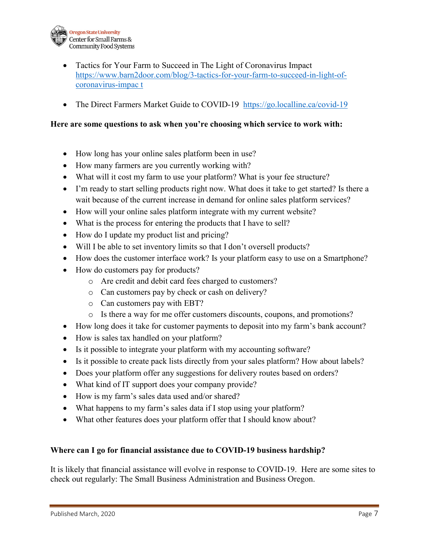

- Tactics for Your Farm to Succeed in The Light of Coronavirus Impact [https://www.barn2door.com/blog/3-tactics-for-your-farm-to-succeed-in-light-of](https://www.barn2door.com/blog/3-tactics-for-your-farm-to-succeed-in-light-of-coronavirus-impac)[coronavirus-impac](https://www.barn2door.com/blog/3-tactics-for-your-farm-to-succeed-in-light-of-coronavirus-impac) t
- The Direct Farmers Market Guide to COVID-19 https://go.localline.ca/covid-19

### **Here are some questions to ask when you're choosing which service to work with:**

- How long has your online sales platform been in use?
- How many farmers are you currently working with?
- What will it cost my farm to use your platform? What is your fee structure?
- I'm ready to start selling products right now. What does it take to get started? Is there a wait because of the current increase in demand for online sales platform services?
- How will your online sales platform integrate with my current website?
- What is the process for entering the products that I have to sell?
- How do I update my product list and pricing?
- Will I be able to set inventory limits so that I don't oversell products?
- How does the customer interface work? Is your platform easy to use on a Smartphone?
- How do customers pay for products?
	- o Are credit and debit card fees charged to customers?
	- o Can customers pay by check or cash on delivery?
	- o Can customers pay with EBT?
	- o Is there a way for me offer customers discounts, coupons, and promotions?
- How long does it take for customer payments to deposit into my farm's bank account?
- How is sales tax handled on your platform?
- Is it possible to integrate your platform with my accounting software?
- Is it possible to create pack lists directly from your sales platform? How about labels?
- Does your platform offer any suggestions for delivery routes based on orders?
- What kind of IT support does your company provide?
- How is my farm's sales data used and/or shared?
- What happens to my farm's sales data if I stop using your platform?
- What other features does your platform offer that I should know about?

### **Where can I go for financial assistance due to COVID-19 business hardship?**

It is likely that financial assistance will evolve in response to COVID-19. Here are some sites to check out regularly: The Small Business Administration and Business Oregon.